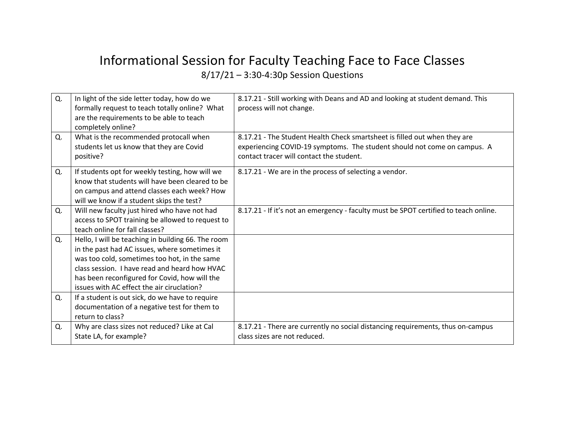## Informational Session for Faculty Teaching Face to Face Classes 8/17/21 – 3:30-4:30p Session Questions

| Q. | In light of the side letter today, how do we<br>formally request to teach totally online? What<br>are the requirements to be able to teach<br>completely online?                                                                                                                                    | 8.17.21 - Still working with Deans and AD and looking at student demand. This<br>process will not change.                                                                                         |
|----|-----------------------------------------------------------------------------------------------------------------------------------------------------------------------------------------------------------------------------------------------------------------------------------------------------|---------------------------------------------------------------------------------------------------------------------------------------------------------------------------------------------------|
| Q. | What is the recommended protocall when<br>students let us know that they are Covid<br>positive?                                                                                                                                                                                                     | 8.17.21 - The Student Health Check smartsheet is filled out when they are<br>experiencing COVID-19 symptoms. The student should not come on campus. A<br>contact tracer will contact the student. |
| Q. | If students opt for weekly testing, how will we<br>know that students will have been cleared to be<br>on campus and attend classes each week? How<br>will we know if a student skips the test?                                                                                                      | 8.17.21 - We are in the process of selecting a vendor.                                                                                                                                            |
| Q. | Will new faculty just hired who have not had<br>access to SPOT training be allowed to request to<br>teach online for fall classes?                                                                                                                                                                  | 8.17.21 - If it's not an emergency - faculty must be SPOT certified to teach online.                                                                                                              |
| Q. | Hello, I will be teaching in building 66. The room<br>in the past had AC issues, where sometimes it<br>was too cold, sometimes too hot, in the same<br>class session. I have read and heard how HVAC<br>has been reconfigured for Covid, how will the<br>issues with AC effect the air ciruclation? |                                                                                                                                                                                                   |
| Q. | If a student is out sick, do we have to require<br>documentation of a negative test for them to<br>return to class?                                                                                                                                                                                 |                                                                                                                                                                                                   |
| Q. | Why are class sizes not reduced? Like at Cal<br>State LA, for example?                                                                                                                                                                                                                              | 8.17.21 - There are currently no social distancing requirements, thus on-campus<br>class sizes are not reduced.                                                                                   |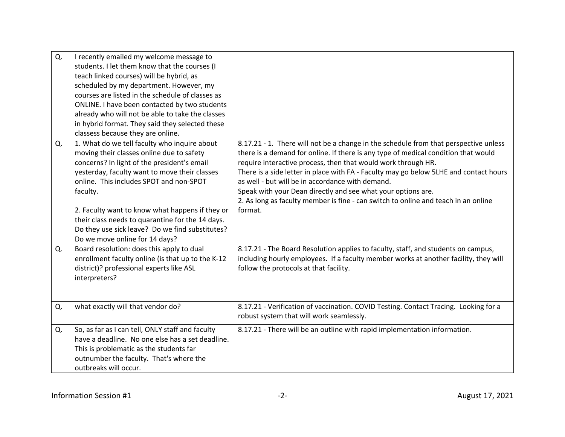| Q. | I recently emailed my welcome message to<br>students. I let them know that the courses (I<br>teach linked courses) will be hybrid, as<br>scheduled by my department. However, my<br>courses are listed in the schedule of classes as<br>ONLINE. I have been contacted by two students<br>already who will not be able to take the classes<br>in hybrid format. They said they selected these<br>classess because they are online.            |                                                                                                                                                                                                                                                                                                                                                                                                                                                                                                                                                           |
|----|----------------------------------------------------------------------------------------------------------------------------------------------------------------------------------------------------------------------------------------------------------------------------------------------------------------------------------------------------------------------------------------------------------------------------------------------|-----------------------------------------------------------------------------------------------------------------------------------------------------------------------------------------------------------------------------------------------------------------------------------------------------------------------------------------------------------------------------------------------------------------------------------------------------------------------------------------------------------------------------------------------------------|
| Q. | 1. What do we tell faculty who inquire about<br>moving their classes online due to safety<br>concerns? In light of the president's email<br>yesterday, faculty want to move their classes<br>online. This includes SPOT and non-SPOT<br>faculty.<br>2. Faculty want to know what happens if they or<br>their class needs to quarantine for the 14 days.<br>Do they use sick leave? Do we find substitutes?<br>Do we move online for 14 days? | 8.17.21 - 1. There will not be a change in the schedule from that perspective unless<br>there is a demand for online. If there is any type of medical condition that would<br>require interactive process, then that would work through HR.<br>There is a side letter in place with FA - Faculty may go below 5LHE and contact hours<br>as well - but will be in accordance with demand.<br>Speak with your Dean directly and see what your options are.<br>2. As long as faculty member is fine - can switch to online and teach in an online<br>format. |
| Q. | Board resolution: does this apply to dual<br>enrollment faculty online (is that up to the K-12<br>district)? professional experts like ASL<br>interpreters?                                                                                                                                                                                                                                                                                  | 8.17.21 - The Board Resolution applies to faculty, staff, and students on campus,<br>including hourly employees. If a faculty member works at another facility, they will<br>follow the protocols at that facility.                                                                                                                                                                                                                                                                                                                                       |
| Q. | what exactly will that vendor do?                                                                                                                                                                                                                                                                                                                                                                                                            | 8.17.21 - Verification of vaccination. COVID Testing. Contact Tracing. Looking for a<br>robust system that will work seamlessly.                                                                                                                                                                                                                                                                                                                                                                                                                          |
| Q. | So, as far as I can tell, ONLY staff and faculty<br>have a deadline. No one else has a set deadline.<br>This is problematic as the students far<br>outnumber the faculty. That's where the<br>outbreaks will occur.                                                                                                                                                                                                                          | 8.17.21 - There will be an outline with rapid implementation information.                                                                                                                                                                                                                                                                                                                                                                                                                                                                                 |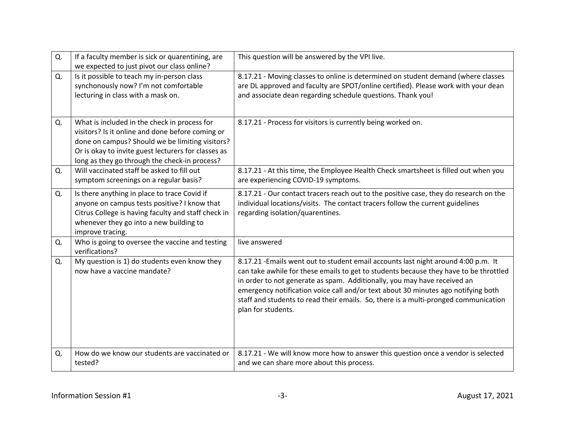| Q. | If a faculty member is sick or quarentining, are<br>we expected to just pivot our class online?                                                                                                                                                             | This question will be answered by the VPI live.                                                                                                                                                                                                                                                                                                                                                                                                           |
|----|-------------------------------------------------------------------------------------------------------------------------------------------------------------------------------------------------------------------------------------------------------------|-----------------------------------------------------------------------------------------------------------------------------------------------------------------------------------------------------------------------------------------------------------------------------------------------------------------------------------------------------------------------------------------------------------------------------------------------------------|
| Q. | Is it possible to teach my in-person class<br>synchonously now? I'm not comfortable<br>lecturing in class with a mask on.                                                                                                                                   | 8.17.21 - Moving classes to online is determined on student demand (where classes<br>are DL approved and faculty are SPOT/online certified). Please work with your dean<br>and associate dean regarding schedule questions. Thank you!                                                                                                                                                                                                                    |
| Q. | What is included in the check in process for<br>visitors? Is it online and done before coming or<br>done on campus? Should we be limiting visitors?<br>Or is okay to invite guest lecturers for classes as<br>long as they go through the check-in process? | 8.17.21 - Process for visitors is currently being worked on.                                                                                                                                                                                                                                                                                                                                                                                              |
| Q. | Will vaccinated staff be asked to fill out<br>symptom screenings on a regular basis?                                                                                                                                                                        | 8.17.21 - At this time, the Employee Health Check smartsheet is filled out when you<br>are experiencing COVID-19 symptoms.                                                                                                                                                                                                                                                                                                                                |
| Q. | Is there anything in place to trace Covid if<br>anyone on campus tests positive? I know that<br>Citrus College is having faculty and staff check in<br>whenever they go into a new building to<br>improve tracing.                                          | 8.17.21 - Our contact tracers reach out to the positive case, they do research on the<br>individual locations/visits. The contact tracers follow the current guidelines<br>regarding isolation/quarentines.                                                                                                                                                                                                                                               |
| Q. | Who is going to oversee the vaccine and testing<br>verifications?                                                                                                                                                                                           | live answered                                                                                                                                                                                                                                                                                                                                                                                                                                             |
| Q. | My question is 1) do students even know they<br>now have a vaccine mandate?                                                                                                                                                                                 | 8.17.21 - Emails went out to student email accounts last night around 4:00 p.m. It<br>can take awhile for these emails to get to students because they have to be throttled<br>in order to not generate as spam. Additionally, you may have received an<br>emergency notification voice call and/or text about 30 minutes ago notifying both<br>staff and students to read their emails. So, there is a multi-pronged communication<br>plan for students. |
| Q. | How do we know our students are vaccinated or<br>tested?                                                                                                                                                                                                    | 8.17.21 - We will know more how to answer this question once a vendor is selected<br>and we can share more about this process.                                                                                                                                                                                                                                                                                                                            |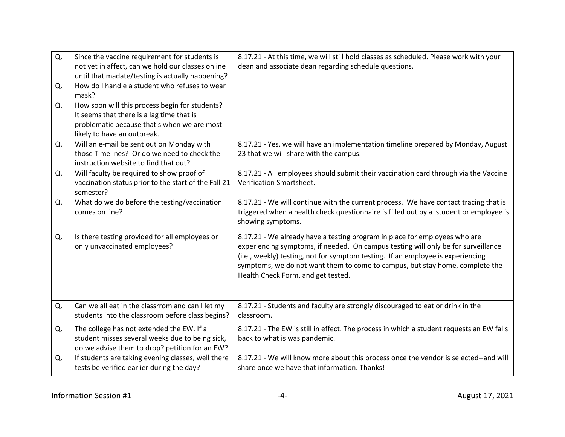| Q. | Since the vaccine requirement for students is<br>not yet in affect, can we hold our classes online<br>until that madate/testing is actually happening?                    | 8.17.21 - At this time, we will still hold classes as scheduled. Please work with your<br>dean and associate dean regarding schedule questions.                                                                                                                                                                                                                          |
|----|---------------------------------------------------------------------------------------------------------------------------------------------------------------------------|--------------------------------------------------------------------------------------------------------------------------------------------------------------------------------------------------------------------------------------------------------------------------------------------------------------------------------------------------------------------------|
| Q. | How do I handle a student who refuses to wear<br>mask?                                                                                                                    |                                                                                                                                                                                                                                                                                                                                                                          |
| Q. | How soon will this process begin for students?<br>It seems that there is a lag time that is<br>problematic because that's when we are most<br>likely to have an outbreak. |                                                                                                                                                                                                                                                                                                                                                                          |
| Q. | Will an e-mail be sent out on Monday with<br>those Timelines? Or do we need to check the<br>instruction website to find that out?                                         | 8.17.21 - Yes, we will have an implementation timeline prepared by Monday, August<br>23 that we will share with the campus.                                                                                                                                                                                                                                              |
| Q. | Will faculty be required to show proof of<br>vaccination status prior to the start of the Fall 21<br>semester?                                                            | 8.17.21 - All employees should submit their vaccination card through via the Vaccine<br>Verification Smartsheet.                                                                                                                                                                                                                                                         |
| Q. | What do we do before the testing/vaccination<br>comes on line?                                                                                                            | 8.17.21 - We will continue with the current process. We have contact tracing that is<br>triggered when a health check questionnaire is filled out by a student or employee is<br>showing symptoms.                                                                                                                                                                       |
| Q. | Is there testing provided for all employees or<br>only unvaccinated employees?                                                                                            | 8.17.21 - We already have a testing program in place for employees who are<br>experiencing symptoms, if needed. On campus testing will only be for surveillance<br>(i.e., weekly) testing, not for symptom testing. If an employee is experiencing<br>symptoms, we do not want them to come to campus, but stay home, complete the<br>Health Check Form, and get tested. |
| Q. | Can we all eat in the classrrom and can I let my<br>students into the classroom before class begins?                                                                      | 8.17.21 - Students and faculty are strongly discouraged to eat or drink in the<br>classroom.                                                                                                                                                                                                                                                                             |
| Q. | The college has not extended the EW. If a<br>student misses several weeks due to being sick,<br>do we advise them to drop? petition for an EW?                            | 8.17.21 - The EW is still in effect. The process in which a student requests an EW falls<br>back to what is was pandemic.                                                                                                                                                                                                                                                |
| Q. | If students are taking evening classes, well there<br>tests be verified earlier during the day?                                                                           | 8.17.21 - We will know more about this process once the vendor is selected--and will<br>share once we have that information. Thanks!                                                                                                                                                                                                                                     |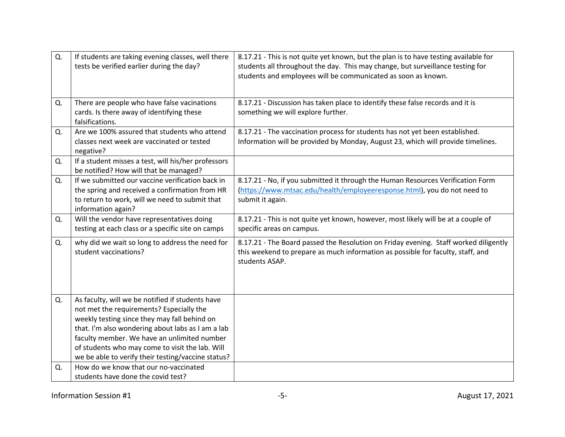| Q. | If students are taking evening classes, well there<br>tests be verified earlier during the day?                                                                                                                                                                                                                                                           | 8.17.21 - This is not quite yet known, but the plan is to have testing available for<br>students all throughout the day. This may change, but surveillance testing for<br>students and employees will be communicated as soon as known. |
|----|-----------------------------------------------------------------------------------------------------------------------------------------------------------------------------------------------------------------------------------------------------------------------------------------------------------------------------------------------------------|-----------------------------------------------------------------------------------------------------------------------------------------------------------------------------------------------------------------------------------------|
| Q. | There are people who have false vacinations<br>cards. Is there away of identifying these<br>falsifications.                                                                                                                                                                                                                                               | 8.17.21 - Discussion has taken place to identify these false records and it is<br>something we will explore further.                                                                                                                    |
| Q. | Are we 100% assured that students who attend<br>classes next week are vaccinated or tested<br>negative?                                                                                                                                                                                                                                                   | 8.17.21 - The vaccination process for students has not yet been established.<br>Information will be provided by Monday, August 23, which will provide timelines.                                                                        |
| Q. | If a student misses a test, will his/her professors<br>be notified? How will that be managed?                                                                                                                                                                                                                                                             |                                                                                                                                                                                                                                         |
| Q. | If we submitted our vaccine verification back in<br>the spring and received a confirmation from HR<br>to return to work, will we need to submit that<br>information again?                                                                                                                                                                                | 8.17.21 - No, if you submitted it through the Human Resources Verification Form<br>(https://www.mtsac.edu/health/employeeresponse.html), you do not need to<br>submit it again.                                                         |
| Q. | Will the vendor have representatives doing<br>testing at each class or a specific site on camps                                                                                                                                                                                                                                                           | 8.17.21 - This is not quite yet known, however, most likely will be at a couple of<br>specific areas on campus.                                                                                                                         |
| Q. | why did we wait so long to address the need for<br>student vaccinations?                                                                                                                                                                                                                                                                                  | 8.17.21 - The Board passed the Resolution on Friday evening. Staff worked diligently<br>this weekend to prepare as much information as possible for faculty, staff, and<br>students ASAP.                                               |
| Q. | As faculty, will we be notified if students have<br>not met the requirements? Especially the<br>weekly testing since they may fall behind on<br>that. I'm also wondering about labs as I am a lab<br>faculty member. We have an unlimited number<br>of students who may come to visit the lab. Will<br>we be able to verify their testing/vaccine status? |                                                                                                                                                                                                                                         |
| Q. | How do we know that our no-vaccinated<br>students have done the covid test?                                                                                                                                                                                                                                                                               |                                                                                                                                                                                                                                         |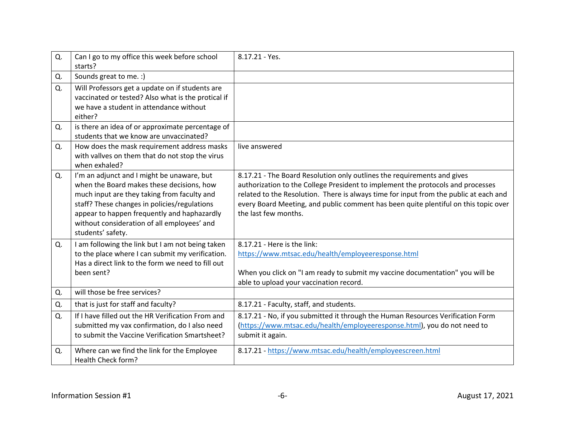| Q. | Can I go to my office this week before school<br>starts?                                                                                                                                                                                                                                                  | 8.17.21 - Yes.                                                                                                                                                                                                                                                                                                                                                     |
|----|-----------------------------------------------------------------------------------------------------------------------------------------------------------------------------------------------------------------------------------------------------------------------------------------------------------|--------------------------------------------------------------------------------------------------------------------------------------------------------------------------------------------------------------------------------------------------------------------------------------------------------------------------------------------------------------------|
| Q. | Sounds great to me. :)                                                                                                                                                                                                                                                                                    |                                                                                                                                                                                                                                                                                                                                                                    |
| Q. | Will Professors get a update on if students are<br>vaccinated or tested? Also what is the protical if<br>we have a student in attendance without<br>either?                                                                                                                                               |                                                                                                                                                                                                                                                                                                                                                                    |
| Q. | is there an idea of or approximate percentage of<br>students that we know are unvaccinated?                                                                                                                                                                                                               |                                                                                                                                                                                                                                                                                                                                                                    |
| Q. | How does the mask requirement address masks<br>with vallves on them that do not stop the virus<br>when exhaled?                                                                                                                                                                                           | live answered                                                                                                                                                                                                                                                                                                                                                      |
| Q. | I'm an adjunct and I might be unaware, but<br>when the Board makes these decisions, how<br>much input are they taking from faculty and<br>staff? These changes in policies/regulations<br>appear to happen frequently and haphazardly<br>without consideration of all employees' and<br>students' safety. | 8.17.21 - The Board Resolution only outlines the requirements and gives<br>authorization to the College President to implement the protocols and processes<br>related to the Resolution. There is always time for input from the public at each and<br>every Board Meeting, and public comment has been quite plentiful on this topic over<br>the last few months. |
| Q. | I am following the link but I am not being taken<br>to the place where I can submit my verification.<br>Has a direct link to the form we need to fill out<br>been sent?                                                                                                                                   | 8.17.21 - Here is the link:<br>https://www.mtsac.edu/health/employeeresponse.html<br>When you click on "I am ready to submit my vaccine documentation" you will be<br>able to upload your vaccination record.                                                                                                                                                      |
| Q. | will those be free services?                                                                                                                                                                                                                                                                              |                                                                                                                                                                                                                                                                                                                                                                    |
| Q. | that is just for staff and faculty?                                                                                                                                                                                                                                                                       | 8.17.21 - Faculty, staff, and students.                                                                                                                                                                                                                                                                                                                            |
| Q. | If I have filled out the HR Verification From and<br>submitted my vax confirmation, do I also need<br>to submit the Vaccine Verification Smartsheet?                                                                                                                                                      | 8.17.21 - No, if you submitted it through the Human Resources Verification Form<br>(https://www.mtsac.edu/health/employeeresponse.html), you do not need to<br>submit it again.                                                                                                                                                                                    |
| Q. | Where can we find the link for the Employee<br>Health Check form?                                                                                                                                                                                                                                         | 8.17.21 - https://www.mtsac.edu/health/employeescreen.html                                                                                                                                                                                                                                                                                                         |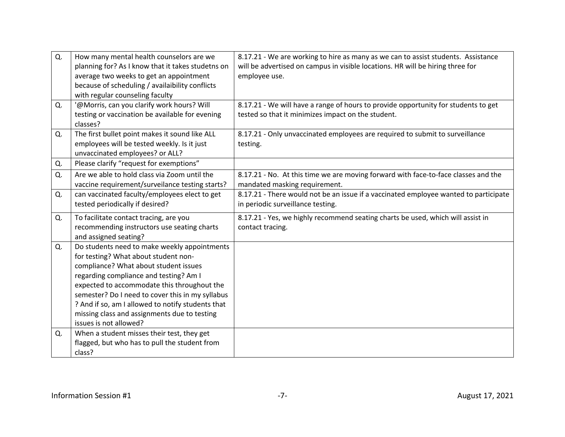| Q. | How many mental health counselors are we          | 8.17.21 - We are working to hire as many as we can to assist students. Assistance    |
|----|---------------------------------------------------|--------------------------------------------------------------------------------------|
|    | planning for? As I know that it takes studetns on | will be advertised on campus in visible locations. HR will be hiring three for       |
|    | average two weeks to get an appointment           | employee use.                                                                        |
|    | because of scheduling / availaibility conflicts   |                                                                                      |
|    | with regular counseling faculty                   |                                                                                      |
| Q. | '@Morris, can you clarify work hours? Will        | 8.17.21 - We will have a range of hours to provide opportunity for students to get   |
|    | testing or vaccination be available for evening   | tested so that it minimizes impact on the student.                                   |
|    | classes?                                          |                                                                                      |
| Q. | The first bullet point makes it sound like ALL    | 8.17.21 - Only unvaccinated employees are required to submit to surveillance         |
|    | employees will be tested weekly. Is it just       | testing.                                                                             |
|    | unvaccinated employees? or ALL?                   |                                                                                      |
| Q. | Please clarify "request for exemptions"           |                                                                                      |
| Q. | Are we able to hold class via Zoom until the      | 8.17.21 - No. At this time we are moving forward with face-to-face classes and the   |
|    | vaccine requirement/surveilance testing starts?   | mandated masking requirement.                                                        |
| Q. | can vaccinated faculty/employees elect to get     | 8.17.21 - There would not be an issue if a vaccinated employee wanted to participate |
|    | tested periodically if desired?                   | in periodic surveillance testing.                                                    |
| Q. | To facilitate contact tracing, are you            | 8.17.21 - Yes, we highly recommend seating charts be used, which will assist in      |
|    | recommending instructors use seating charts       | contact tracing.                                                                     |
|    | and assigned seating?                             |                                                                                      |
| Q. | Do students need to make weekly appointments      |                                                                                      |
|    | for testing? What about student non-              |                                                                                      |
|    | compliance? What about student issues             |                                                                                      |
|    | regarding compliance and testing? Am I            |                                                                                      |
|    | expected to accommodate this throughout the       |                                                                                      |
|    | semester? Do I need to cover this in my syllabus  |                                                                                      |
|    | ? And if so, am I allowed to notify students that |                                                                                      |
|    | missing class and assignments due to testing      |                                                                                      |
|    | issues is not allowed?                            |                                                                                      |
| Q. | When a student misses their test, they get        |                                                                                      |
|    | flagged, but who has to pull the student from     |                                                                                      |
|    | class?                                            |                                                                                      |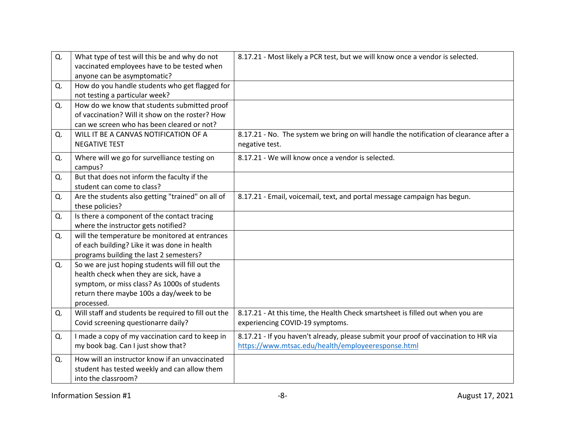| Q. | What type of test will this be and why do not<br>vaccinated employees have to be tested when                                                                                                          | 8.17.21 - Most likely a PCR test, but we will know once a vendor is selected.                                                             |
|----|-------------------------------------------------------------------------------------------------------------------------------------------------------------------------------------------------------|-------------------------------------------------------------------------------------------------------------------------------------------|
| Q. | anyone can be asymptomatic?<br>How do you handle students who get flagged for<br>not testing a particular week?                                                                                       |                                                                                                                                           |
| Q. | How do we know that students submitted proof<br>of vaccination? Will it show on the roster? How<br>can we screen who has been cleared or not?                                                         |                                                                                                                                           |
| Q. | WILL IT BE A CANVAS NOTIFICATION OF A<br><b>NEGATIVE TEST</b>                                                                                                                                         | 8.17.21 - No. The system we bring on will handle the notification of clearance after a<br>negative test.                                  |
| Q. | Where will we go for survelliance testing on<br>campus?                                                                                                                                               | 8.17.21 - We will know once a vendor is selected.                                                                                         |
| Q. | But that does not inform the faculty if the<br>student can come to class?                                                                                                                             |                                                                                                                                           |
| Q. | Are the students also getting "trained" on all of<br>these policies?                                                                                                                                  | 8.17.21 - Email, voicemail, text, and portal message campaign has begun.                                                                  |
| Q. | Is there a component of the contact tracing<br>where the instructor gets notified?                                                                                                                    |                                                                                                                                           |
| Q. | will the temperature be monitored at entrances<br>of each building? Like it was done in health<br>programs building the last 2 semesters?                                                             |                                                                                                                                           |
| Q. | So we are just hoping students will fill out the<br>health check when they are sick, have a<br>symptom, or miss class? As 1000s of students<br>return there maybe 100s a day/week to be<br>processed. |                                                                                                                                           |
| Q. | Will staff and students be required to fill out the<br>Covid screening questionarre daily?                                                                                                            | 8.17.21 - At this time, the Health Check smartsheet is filled out when you are<br>experiencing COVID-19 symptoms.                         |
| Q. | I made a copy of my vaccination card to keep in<br>my book bag. Can I just show that?                                                                                                                 | 8.17.21 - If you haven't already, please submit your proof of vaccination to HR via<br>https://www.mtsac.edu/health/employeeresponse.html |
| Q. | How will an instructor know if an unvaccinated<br>student has tested weekly and can allow them<br>into the classroom?                                                                                 |                                                                                                                                           |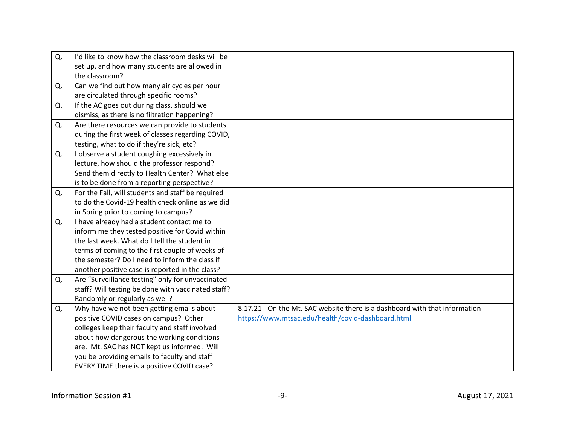| Q. | I'd like to know how the classroom desks will be   |                                                                             |
|----|----------------------------------------------------|-----------------------------------------------------------------------------|
|    | set up, and how many students are allowed in       |                                                                             |
|    | the classroom?                                     |                                                                             |
| Q. | Can we find out how many air cycles per hour       |                                                                             |
|    | are circulated through specific rooms?             |                                                                             |
| Q. | If the AC goes out during class, should we         |                                                                             |
|    | dismiss, as there is no filtration happening?      |                                                                             |
| Q. | Are there resources we can provide to students     |                                                                             |
|    | during the first week of classes regarding COVID,  |                                                                             |
|    | testing, what to do if they're sick, etc?          |                                                                             |
| Q. | I observe a student coughing excessively in        |                                                                             |
|    | lecture, how should the professor respond?         |                                                                             |
|    | Send them directly to Health Center? What else     |                                                                             |
|    | is to be done from a reporting perspective?        |                                                                             |
| Q. | For the Fall, will students and staff be required  |                                                                             |
|    | to do the Covid-19 health check online as we did   |                                                                             |
|    | in Spring prior to coming to campus?               |                                                                             |
| Q. | I have already had a student contact me to         |                                                                             |
|    | inform me they tested positive for Covid within    |                                                                             |
|    | the last week. What do I tell the student in       |                                                                             |
|    | terms of coming to the first couple of weeks of    |                                                                             |
|    | the semester? Do I need to inform the class if     |                                                                             |
|    | another positive case is reported in the class?    |                                                                             |
| Q. | Are "Surveillance testing" only for unvaccinated   |                                                                             |
|    | staff? Will testing be done with vaccinated staff? |                                                                             |
|    | Randomly or regularly as well?                     |                                                                             |
| Q. | Why have we not been getting emails about          | 8.17.21 - On the Mt. SAC website there is a dashboard with that information |
|    | positive COVID cases on campus? Other              | https://www.mtsac.edu/health/covid-dashboard.html                           |
|    | colleges keep their faculty and staff involved     |                                                                             |
|    | about how dangerous the working conditions         |                                                                             |
|    | are. Mt. SAC has NOT kept us informed. Will        |                                                                             |
|    | you be providing emails to faculty and staff       |                                                                             |
|    | EVERY TIME there is a positive COVID case?         |                                                                             |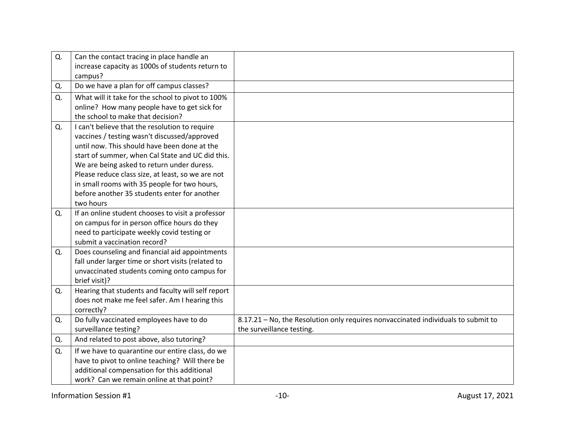| Q. | Can the contact tracing in place handle an         |                                                                                   |
|----|----------------------------------------------------|-----------------------------------------------------------------------------------|
|    | increase capacity as 1000s of students return to   |                                                                                   |
|    | campus?                                            |                                                                                   |
| Q. | Do we have a plan for off campus classes?          |                                                                                   |
| Q. | What will it take for the school to pivot to 100%  |                                                                                   |
|    | online? How many people have to get sick for       |                                                                                   |
|    | the school to make that decision?                  |                                                                                   |
| Q. | I can't believe that the resolution to require     |                                                                                   |
|    | vaccines / testing wasn't discussed/approved       |                                                                                   |
|    | until now. This should have been done at the       |                                                                                   |
|    | start of summer, when Cal State and UC did this.   |                                                                                   |
|    | We are being asked to return under duress.         |                                                                                   |
|    | Please reduce class size, at least, so we are not  |                                                                                   |
|    | in small rooms with 35 people for two hours,       |                                                                                   |
|    | before another 35 students enter for another       |                                                                                   |
|    | two hours                                          |                                                                                   |
| Q. | If an online student chooses to visit a professor  |                                                                                   |
|    | on campus for in person office hours do they       |                                                                                   |
|    | need to participate weekly covid testing or        |                                                                                   |
|    | submit a vaccination record?                       |                                                                                   |
| Q. | Does counseling and financial aid appointments     |                                                                                   |
|    | fall under larger time or short visits (related to |                                                                                   |
|    | unvaccinated students coming onto campus for       |                                                                                   |
|    | brief visit)?                                      |                                                                                   |
| Q. | Hearing that students and faculty will self report |                                                                                   |
|    | does not make me feel safer. Am I hearing this     |                                                                                   |
|    | correctly?                                         |                                                                                   |
| Q. | Do fully vaccinated employees have to do           | 8.17.21 - No, the Resolution only requires nonvaccinated individuals to submit to |
|    | surveillance testing?                              | the surveillance testing.                                                         |
| Q. | And related to post above, also tutoring?          |                                                                                   |
| Q. | If we have to quarantine our entire class, do we   |                                                                                   |
|    | have to pivot to online teaching? Will there be    |                                                                                   |
|    | additional compensation for this additional        |                                                                                   |
|    | work? Can we remain online at that point?          |                                                                                   |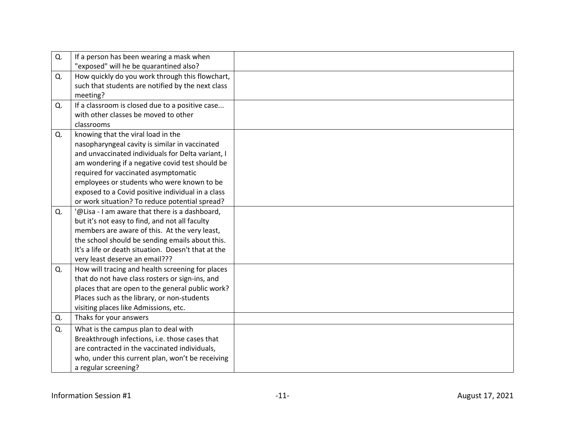| Q. | If a person has been wearing a mask when            |  |
|----|-----------------------------------------------------|--|
|    | "exposed" will he be quarantined also?              |  |
| Q. | How quickly do you work through this flowchart,     |  |
|    | such that students are notified by the next class   |  |
|    | meeting?                                            |  |
| Q. | If a classroom is closed due to a positive case     |  |
|    | with other classes be moved to other                |  |
|    | classrooms                                          |  |
| Q. | knowing that the viral load in the                  |  |
|    | nasopharyngeal cavity is similar in vaccinated      |  |
|    | and unvaccinated individuals for Delta variant, I   |  |
|    | am wondering if a negative covid test should be     |  |
|    | required for vaccinated asymptomatic                |  |
|    | employees or students who were known to be          |  |
|    | exposed to a Covid positive individual in a class   |  |
|    | or work situation? To reduce potential spread?      |  |
| Q. | '@Lisa - I am aware that there is a dashboard,      |  |
|    | but it's not easy to find, and not all faculty      |  |
|    | members are aware of this. At the very least,       |  |
|    | the school should be sending emails about this.     |  |
|    | It's a life or death situation. Doesn't that at the |  |
|    | very least deserve an email???                      |  |
| Q. | How will tracing and health screening for places    |  |
|    | that do not have class rosters or sign-ins, and     |  |
|    | places that are open to the general public work?    |  |
|    | Places such as the library, or non-students         |  |
|    | visiting places like Admissions, etc.               |  |
| Q. | Thaks for your answers                              |  |
| Q. | What is the campus plan to deal with                |  |
|    | Breakthrough infections, i.e. those cases that      |  |
|    | are contracted in the vaccinated individuals,       |  |
|    | who, under this current plan, won't be receiving    |  |
|    | a regular screening?                                |  |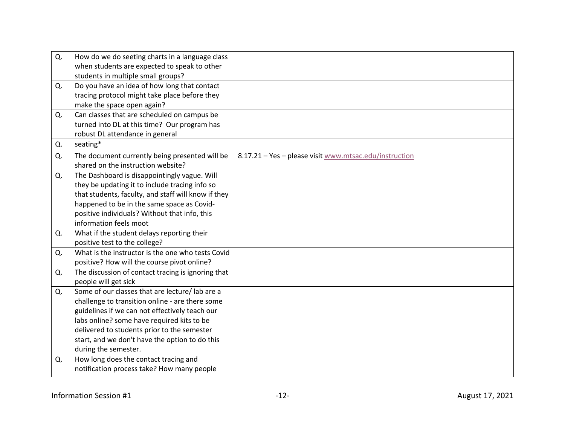| Q. | How do we do seeting charts in a language class<br>when students are expected to speak to other<br>students in multiple small groups?                                                                                                                                                                                       |                                                        |
|----|-----------------------------------------------------------------------------------------------------------------------------------------------------------------------------------------------------------------------------------------------------------------------------------------------------------------------------|--------------------------------------------------------|
| Q. | Do you have an idea of how long that contact<br>tracing protocol might take place before they<br>make the space open again?                                                                                                                                                                                                 |                                                        |
| Q. | Can classes that are scheduled on campus be<br>turned into DL at this time? Our program has<br>robust DL attendance in general                                                                                                                                                                                              |                                                        |
| Q. | seating*                                                                                                                                                                                                                                                                                                                    |                                                        |
| Q. | The document currently being presented will be<br>shared on the instruction website?                                                                                                                                                                                                                                        | 8.17.21 - Yes - please visit www.mtsac.edu/instruction |
| Q. | The Dashboard is disappointingly vague. Will<br>they be updating it to include tracing info so<br>that students, faculty, and staff will know if they<br>happened to be in the same space as Covid-<br>positive individuals? Without that info, this<br>information feels moot                                              |                                                        |
| Q. | What if the student delays reporting their<br>positive test to the college?                                                                                                                                                                                                                                                 |                                                        |
| Q. | What is the instructor is the one who tests Covid<br>positive? How will the course pivot online?                                                                                                                                                                                                                            |                                                        |
| Q. | The discussion of contact tracing is ignoring that<br>people will get sick                                                                                                                                                                                                                                                  |                                                        |
| Q. | Some of our classes that are lecture/ lab are a<br>challenge to transition online - are there some<br>guidelines if we can not effectively teach our<br>labs online? some have required kits to be<br>delivered to students prior to the semester<br>start, and we don't have the option to do this<br>during the semester. |                                                        |
| Q. | How long does the contact tracing and<br>notification process take? How many people                                                                                                                                                                                                                                         |                                                        |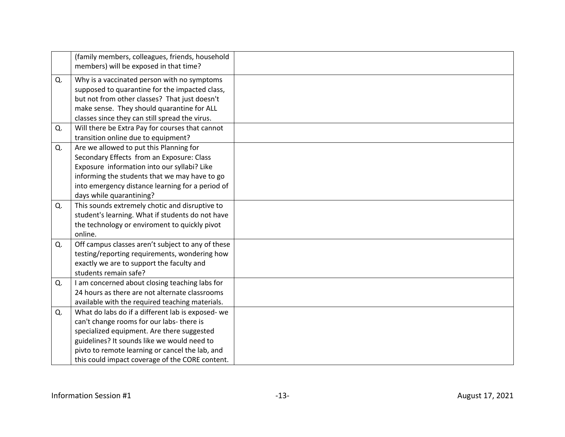|    | (family members, colleagues, friends, household<br>members) will be exposed in that time? |  |
|----|-------------------------------------------------------------------------------------------|--|
| Q. | Why is a vaccinated person with no symptoms                                               |  |
|    | supposed to quarantine for the impacted class,                                            |  |
|    | but not from other classes? That just doesn't                                             |  |
|    | make sense. They should quarantine for ALL                                                |  |
|    | classes since they can still spread the virus.                                            |  |
| Q. | Will there be Extra Pay for courses that cannot                                           |  |
|    | transition online due to equipment?                                                       |  |
| Q. | Are we allowed to put this Planning for                                                   |  |
|    | Secondary Effects from an Exposure: Class                                                 |  |
|    | Exposure information into our syllabi? Like                                               |  |
|    | informing the students that we may have to go                                             |  |
|    | into emergency distance learning for a period of                                          |  |
|    | days while quarantining?                                                                  |  |
| Q. | This sounds extremely chotic and disruptive to                                            |  |
|    | student's learning. What if students do not have                                          |  |
|    | the technology or enviroment to quickly pivot                                             |  |
|    | online.                                                                                   |  |
| Q. | Off campus classes aren't subject to any of these                                         |  |
|    | testing/reporting requirements, wondering how                                             |  |
|    | exactly we are to support the faculty and                                                 |  |
|    | students remain safe?                                                                     |  |
| Q. | I am concerned about closing teaching labs for                                            |  |
|    | 24 hours as there are not alternate classrooms                                            |  |
|    | available with the required teaching materials.                                           |  |
| Q. | What do labs do if a different lab is exposed- we                                         |  |
|    | can't change rooms for our labs- there is                                                 |  |
|    | specialized equipment. Are there suggested                                                |  |
|    | guidelines? It sounds like we would need to                                               |  |
|    | pivto to remote learning or cancel the lab, and                                           |  |
|    | this could impact coverage of the CORE content.                                           |  |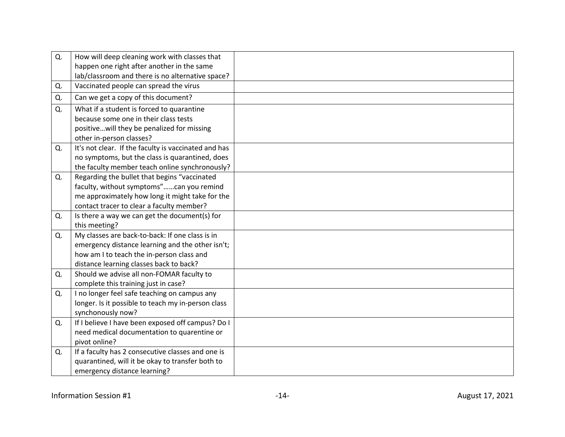| Q. | How will deep cleaning work with classes that        |  |
|----|------------------------------------------------------|--|
|    | happen one right after another in the same           |  |
|    | lab/classroom and there is no alternative space?     |  |
| Q. | Vaccinated people can spread the virus               |  |
| Q. | Can we get a copy of this document?                  |  |
| Q. | What if a student is forced to quarantine            |  |
|    | because some one in their class tests                |  |
|    | positivewill they be penalized for missing           |  |
|    | other in-person classes?                             |  |
| Q. | It's not clear. If the faculty is vaccinated and has |  |
|    | no symptoms, but the class is quarantined, does      |  |
|    | the faculty member teach online synchronously?       |  |
| Q. | Regarding the bullet that begins "vaccinated         |  |
|    | faculty, without symptoms"can you remind             |  |
|    | me approximately how long it might take for the      |  |
|    | contact tracer to clear a faculty member?            |  |
| Q. | Is there a way we can get the document(s) for        |  |
|    | this meeting?                                        |  |
| Q. | My classes are back-to-back: If one class is in      |  |
|    | emergency distance learning and the other isn't;     |  |
|    | how am I to teach the in-person class and            |  |
|    | distance learning classes back to back?              |  |
| Q. | Should we advise all non-FOMAR faculty to            |  |
|    | complete this training just in case?                 |  |
| Q. | I no longer feel safe teaching on campus any         |  |
|    | longer. Is it possible to teach my in-person class   |  |
|    | synchonously now?                                    |  |
| Q. | If I believe I have been exposed off campus? Do I    |  |
|    | need medical documentation to quarentine or          |  |
|    | pivot online?                                        |  |
| Q. | If a faculty has 2 consecutive classes and one is    |  |
|    | quarantined, will it be okay to transfer both to     |  |
|    | emergency distance learning?                         |  |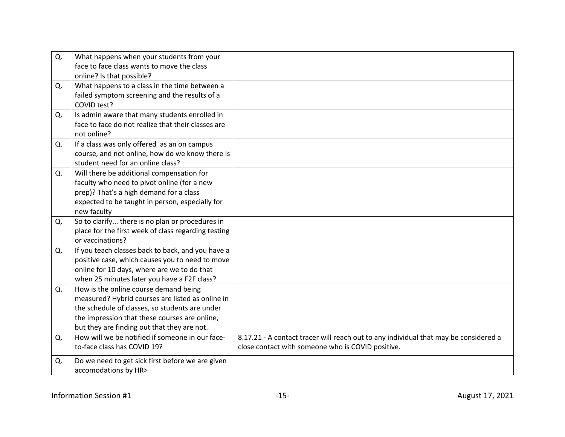| Q. | What happens when your students from your<br>face to face class wants to move the class<br>online? Is that possible?                                                                                                                        |                                                                                                                                           |
|----|---------------------------------------------------------------------------------------------------------------------------------------------------------------------------------------------------------------------------------------------|-------------------------------------------------------------------------------------------------------------------------------------------|
| Q. | What happens to a class in the time between a<br>failed symptom screening and the results of a<br>COVID test?                                                                                                                               |                                                                                                                                           |
| Q. | Is admin aware that many students enrolled in<br>face to face do not realize that their classes are<br>not online?                                                                                                                          |                                                                                                                                           |
| Q. | If a class was only offered as an on campus<br>course, and not online, how do we know there is<br>student need for an online class?                                                                                                         |                                                                                                                                           |
| Q. | Will there be additional compensation for<br>faculty who need to pivot online (for a new<br>prep)? That's a high demand for a class<br>expected to be taught in person, especially for<br>new faculty                                       |                                                                                                                                           |
| Q. | So to clarify there is no plan or procedures in<br>place for the first week of class regarding testing<br>or vaccinations?                                                                                                                  |                                                                                                                                           |
| Q. | If you teach classes back to back, and you have a<br>positive case, which causes you to need to move<br>online for 10 days, where are we to do that<br>when 25 minutes later you have a F2F class?                                          |                                                                                                                                           |
| Q. | How is the online course demand being<br>measured? Hybrid courses are listed as online in<br>the schedule of classes, so students are under<br>the impression that these courses are online,<br>but they are finding out that they are not. |                                                                                                                                           |
| Q. | How will we be notified if someone in our face-<br>to-face class has COVID 19?                                                                                                                                                              | 8.17.21 - A contact tracer will reach out to any individual that may be considered a<br>close contact with someone who is COVID positive. |
| Q. | Do we need to get sick first before we are given<br>accomodations by HR>                                                                                                                                                                    |                                                                                                                                           |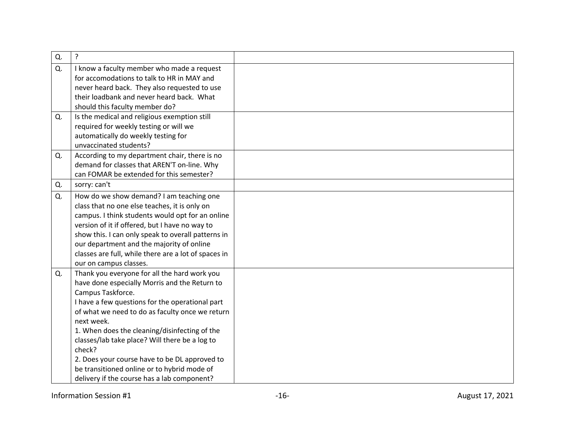| Q. | $\cdot$                                                                                                                                                                                                                                                                                                                                                                                                                                                                                            |  |
|----|----------------------------------------------------------------------------------------------------------------------------------------------------------------------------------------------------------------------------------------------------------------------------------------------------------------------------------------------------------------------------------------------------------------------------------------------------------------------------------------------------|--|
| Q. | I know a faculty member who made a request<br>for accomodations to talk to HR in MAY and<br>never heard back. They also requested to use<br>their loadbank and never heard back. What<br>should this faculty member do?                                                                                                                                                                                                                                                                            |  |
| Q. | Is the medical and religious exemption still<br>required for weekly testing or will we<br>automatically do weekly testing for<br>unvaccinated students?                                                                                                                                                                                                                                                                                                                                            |  |
| Q. | According to my department chair, there is no<br>demand for classes that AREN'T on-line. Why<br>can FOMAR be extended for this semester?                                                                                                                                                                                                                                                                                                                                                           |  |
| Q. | sorry: can't                                                                                                                                                                                                                                                                                                                                                                                                                                                                                       |  |
| Q. | How do we show demand? I am teaching one<br>class that no one else teaches, it is only on<br>campus. I think students would opt for an online<br>version of it if offered, but I have no way to<br>show this. I can only speak to overall patterns in<br>our department and the majority of online<br>classes are full, while there are a lot of spaces in<br>our on campus classes.                                                                                                               |  |
| Q. | Thank you everyone for all the hard work you<br>have done especially Morris and the Return to<br>Campus Taskforce.<br>I have a few questions for the operational part<br>of what we need to do as faculty once we return<br>next week.<br>1. When does the cleaning/disinfecting of the<br>classes/lab take place? Will there be a log to<br>check?<br>2. Does your course have to be DL approved to<br>be transitioned online or to hybrid mode of<br>delivery if the course has a lab component? |  |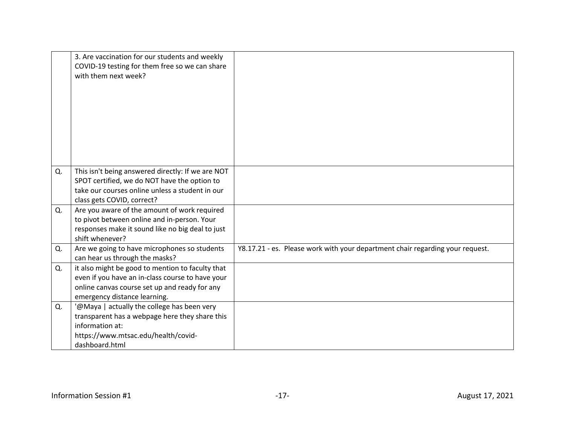|    | 3. Are vaccination for our students and weekly<br>COVID-19 testing for them free so we can share<br>with them next week?                                                              |                                                                               |
|----|---------------------------------------------------------------------------------------------------------------------------------------------------------------------------------------|-------------------------------------------------------------------------------|
| Q. | This isn't being answered directly: If we are NOT<br>SPOT certified, we do NOT have the option to<br>take our courses online unless a student in our<br>class gets COVID, correct?    |                                                                               |
| Q. | Are you aware of the amount of work required<br>to pivot between online and in-person. Your<br>responses make it sound like no big deal to just<br>shift whenever?                    |                                                                               |
| Q. | Are we going to have microphones so students<br>can hear us through the masks?                                                                                                        | Y8.17.21 - es. Please work with your department chair regarding your request. |
| Q. | it also might be good to mention to faculty that<br>even if you have an in-class course to have your<br>online canvas course set up and ready for any<br>emergency distance learning. |                                                                               |
| Q. | '@Maya   actually the college has been very<br>transparent has a webpage here they share this<br>information at:<br>https://www.mtsac.edu/health/covid-<br>dashboard.html             |                                                                               |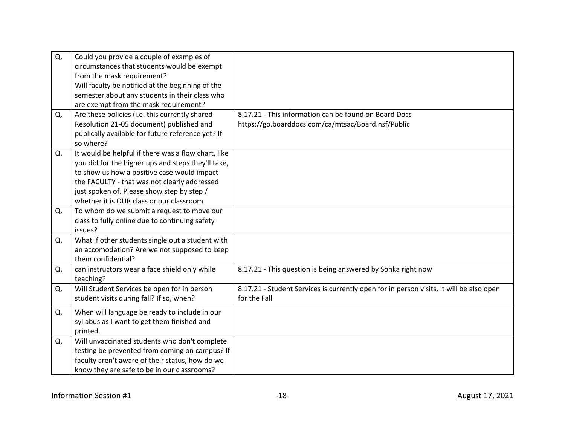| Q. | Could you provide a couple of examples of           |                                                                                         |
|----|-----------------------------------------------------|-----------------------------------------------------------------------------------------|
|    | circumstances that students would be exempt         |                                                                                         |
|    | from the mask requirement?                          |                                                                                         |
|    | Will faculty be notified at the beginning of the    |                                                                                         |
|    | semester about any students in their class who      |                                                                                         |
|    | are exempt from the mask requirement?               |                                                                                         |
| Q. | Are these policies (i.e. this currently shared      | 8.17.21 - This information can be found on Board Docs                                   |
|    | Resolution 21-05 document) published and            | https://go.boarddocs.com/ca/mtsac/Board.nsf/Public                                      |
|    | publically available for future reference yet? If   |                                                                                         |
|    | so where?                                           |                                                                                         |
| Q. | It would be helpful if there was a flow chart, like |                                                                                         |
|    | you did for the higher ups and steps they'll take,  |                                                                                         |
|    | to show us how a positive case would impact         |                                                                                         |
|    | the FACULTY - that was not clearly addressed        |                                                                                         |
|    | just spoken of. Please show step by step /          |                                                                                         |
|    | whether it is OUR class or our classroom            |                                                                                         |
| Q. | To whom do we submit a request to move our          |                                                                                         |
|    | class to fully online due to continuing safety      |                                                                                         |
|    | issues?                                             |                                                                                         |
| Q. | What if other students single out a student with    |                                                                                         |
|    | an accomodation? Are we not supposed to keep        |                                                                                         |
|    | them confidential?                                  |                                                                                         |
| Q. | can instructors wear a face shield only while       | 8.17.21 - This question is being answered by Sohka right now                            |
|    | teaching?                                           |                                                                                         |
| Q. | Will Student Services be open for in person         | 8.17.21 - Student Services is currently open for in person visits. It will be also open |
|    | student visits during fall? If so, when?            | for the Fall                                                                            |
| Q. | When will language be ready to include in our       |                                                                                         |
|    | syllabus as I want to get them finished and         |                                                                                         |
|    | printed.                                            |                                                                                         |
| Q. | Will unvaccinated students who don't complete       |                                                                                         |
|    | testing be prevented from coming on campus? If      |                                                                                         |
|    | faculty aren't aware of their status, how do we     |                                                                                         |
|    | know they are safe to be in our classrooms?         |                                                                                         |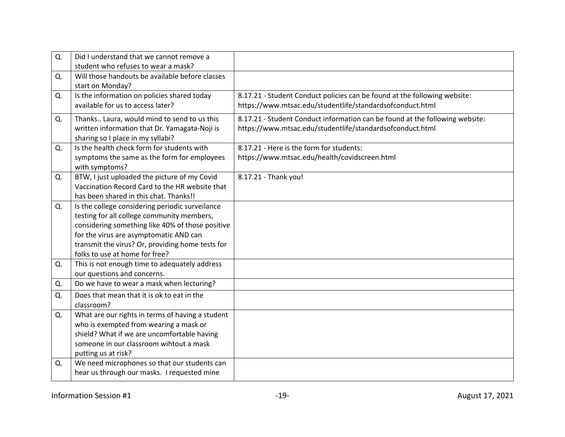| Q. | Did I understand that we cannot remove a<br>student who refuses to wear a mask?                                                                                                                                                                                                   |                                                                                                                                           |
|----|-----------------------------------------------------------------------------------------------------------------------------------------------------------------------------------------------------------------------------------------------------------------------------------|-------------------------------------------------------------------------------------------------------------------------------------------|
| Q. | Will those handouts be available before classes<br>start on Monday?                                                                                                                                                                                                               |                                                                                                                                           |
| Q. | Is the information on policies shared today<br>available for us to access later?                                                                                                                                                                                                  | 8.17.21 - Student Conduct policies can be found at the following website:<br>https://www.mtsac.edu/studentlife/standardsofconduct.html    |
| Q. | Thanks Laura, would mind to send to us this<br>written information that Dr. Yamagata-Noji is<br>sharing so I place in my syllabi?                                                                                                                                                 | 8.17.21 - Student Conduct information can be found at the following website:<br>https://www.mtsac.edu/studentlife/standardsofconduct.html |
| Q. | Is the health check form for students with<br>symptoms the same as the form for employees<br>with symptoms?                                                                                                                                                                       | 8.17.21 - Here is the form for students:<br>https://www.mtsac.edu/health/covidscreen.html                                                 |
| Q. | BTW, I just uploaded the picture of my Covid<br>Vaccination Record Card to the HR website that<br>has been shared in this chat. Thanks!!                                                                                                                                          | 8.17.21 - Thank you!                                                                                                                      |
| Q. | Is the college considering periodic surveilance<br>testing for all college community members,<br>considering something like 40% of those positive<br>for the virus are asymptomatic AND can<br>transmit the virus? Or, providing home tests for<br>folks to use at home for free? |                                                                                                                                           |
| Q. | This is not enough time to adequately address<br>our questions and concerns.                                                                                                                                                                                                      |                                                                                                                                           |
| Q. | Do we have to wear a mask when lecturing?                                                                                                                                                                                                                                         |                                                                                                                                           |
| Q. | Does that mean that it is ok to eat in the<br>classroom?                                                                                                                                                                                                                          |                                                                                                                                           |
| Q. | What are our rights in terms of having a student<br>who is exempted from wearing a mask or<br>shield? What if we are uncomfortable having<br>someone in our classroom wihtout a mask<br>putting us at risk?                                                                       |                                                                                                                                           |
| Q. | We need microphones so that our students can<br>hear us through our masks. I requested mine                                                                                                                                                                                       |                                                                                                                                           |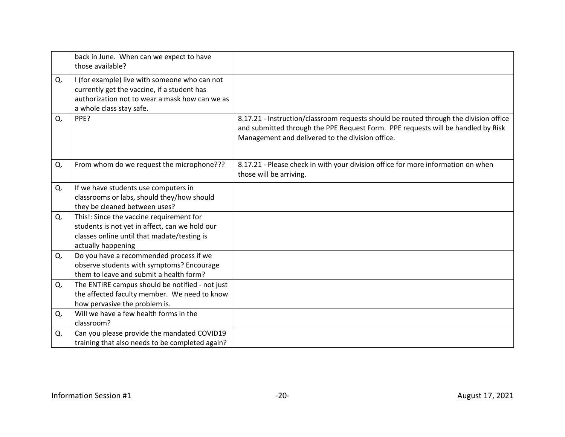|    | back in June. When can we expect to have<br>those available?                                                                                                               |                                                                                                                                                                                                                               |
|----|----------------------------------------------------------------------------------------------------------------------------------------------------------------------------|-------------------------------------------------------------------------------------------------------------------------------------------------------------------------------------------------------------------------------|
| Q. | I (for example) live with someone who can not<br>currently get the vaccine, if a student has<br>authorization not to wear a mask how can we as<br>a whole class stay safe. |                                                                                                                                                                                                                               |
| Q. | PPE?                                                                                                                                                                       | 8.17.21 - Instruction/classroom requests should be routed through the division office<br>and submitted through the PPE Request Form. PPE requests will be handled by Risk<br>Management and delivered to the division office. |
| Q. | From whom do we request the microphone???                                                                                                                                  | 8.17.21 - Please check in with your division office for more information on when<br>those will be arriving.                                                                                                                   |
| Q. | If we have students use computers in<br>classrooms or labs, should they/how should<br>they be cleaned between uses?                                                        |                                                                                                                                                                                                                               |
| Q. | This!: Since the vaccine requirement for<br>students is not yet in affect, can we hold our<br>classes online until that madate/testing is<br>actually happening            |                                                                                                                                                                                                                               |
| Q. | Do you have a recommended process if we<br>observe students with symptoms? Encourage<br>them to leave and submit a health form?                                            |                                                                                                                                                                                                                               |
| Q. | The ENTIRE campus should be notified - not just<br>the affected faculty member. We need to know<br>how pervasive the problem is.                                           |                                                                                                                                                                                                                               |
| Q. | Will we have a few health forms in the<br>classroom?                                                                                                                       |                                                                                                                                                                                                                               |
| Q. | Can you please provide the mandated COVID19<br>training that also needs to be completed again?                                                                             |                                                                                                                                                                                                                               |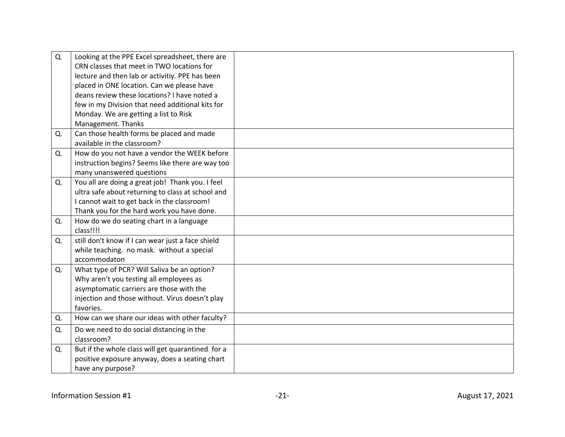| Q. | Looking at the PPE Excel spreadsheet, there are   |  |
|----|---------------------------------------------------|--|
|    | CRN classes that meet in TWO locations for        |  |
|    | lecture and then lab or activitiy. PPE has been   |  |
|    | placed in ONE location. Can we please have        |  |
|    | deans review these locations? I have noted a      |  |
|    | few in my Division that need additional kits for  |  |
|    | Monday. We are getting a list to Risk             |  |
|    | Management. Thanks                                |  |
| Q. | Can those health forms be placed and made         |  |
|    | available in the classroom?                       |  |
| Q. | How do you not have a vendor the WEEK before      |  |
|    | instruction begins? Seems like there are way too  |  |
|    | many unanswered questions                         |  |
| Q. | You all are doing a great job! Thank you. I feel  |  |
|    | ultra safe about returning to class at school and |  |
|    | I cannot wait to get back in the classroom!       |  |
|    | Thank you for the hard work you have done.        |  |
| Q. | How do we do seating chart in a language          |  |
|    | class!!!!                                         |  |
| Q. | still don't know if I can wear just a face shield |  |
|    | while teaching. no mask. without a special        |  |
|    | accommodaton                                      |  |
| Q. | What type of PCR? Will Saliva be an option?       |  |
|    | Why aren't you testing all employees as           |  |
|    | asymptomatic carriers are those with the          |  |
|    | injection and those without. Virus doesn't play   |  |
|    | favories.                                         |  |
| Q. | How can we share our ideas with other faculty?    |  |
| Q. | Do we need to do social distancing in the         |  |
|    | classroom?                                        |  |
| Q. | But if the whole class will get quarantined for a |  |
|    | positive exposure anyway, does a seating chart    |  |
|    | have any purpose?                                 |  |